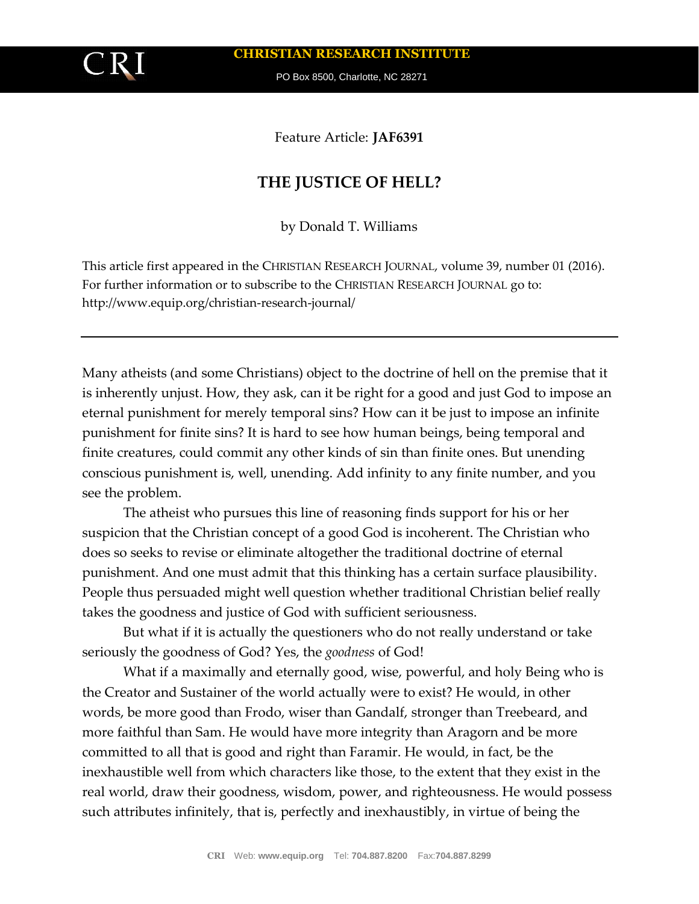

**CHRISTIAN RESEARCH INSTITUTE**

PO Box 8500, Charlotte, NC 28271

Feature Article: **JAF6391**

# **THE JUSTICE OF HELL?**

by Donald T. Williams

This article first appeared in the CHRISTIAN RESEARCH JOURNAL, volume 39, number 01 (2016). For further information or to subscribe to the CHRISTIAN RESEARCH JOURNAL go to: http://www.equip.org/christian-research-journal/

Many atheists (and some Christians) object to the doctrine of hell on the premise that it is inherently unjust. How, they ask, can it be right for a good and just God to impose an eternal punishment for merely temporal sins? How can it be just to impose an infinite punishment for finite sins? It is hard to see how human beings, being temporal and finite creatures, could commit any other kinds of sin than finite ones. But unending conscious punishment is, well, unending. Add infinity to any finite number, and you see the problem.

The atheist who pursues this line of reasoning finds support for his or her suspicion that the Christian concept of a good God is incoherent. The Christian who does so seeks to revise or eliminate altogether the traditional doctrine of eternal punishment. And one must admit that this thinking has a certain surface plausibility. People thus persuaded might well question whether traditional Christian belief really takes the goodness and justice of God with sufficient seriousness.

But what if it is actually the questioners who do not really understand or take seriously the goodness of God? Yes, the *goodness* of God!

What if a maximally and eternally good, wise, powerful, and holy Being who is the Creator and Sustainer of the world actually were to exist? He would, in other words, be more good than Frodo, wiser than Gandalf, stronger than Treebeard, and more faithful than Sam. He would have more integrity than Aragorn and be more committed to all that is good and right than Faramir. He would, in fact, be the inexhaustible well from which characters like those, to the extent that they exist in the real world, draw their goodness, wisdom, power, and righteousness. He would possess such attributes infinitely, that is, perfectly and inexhaustibly, in virtue of being the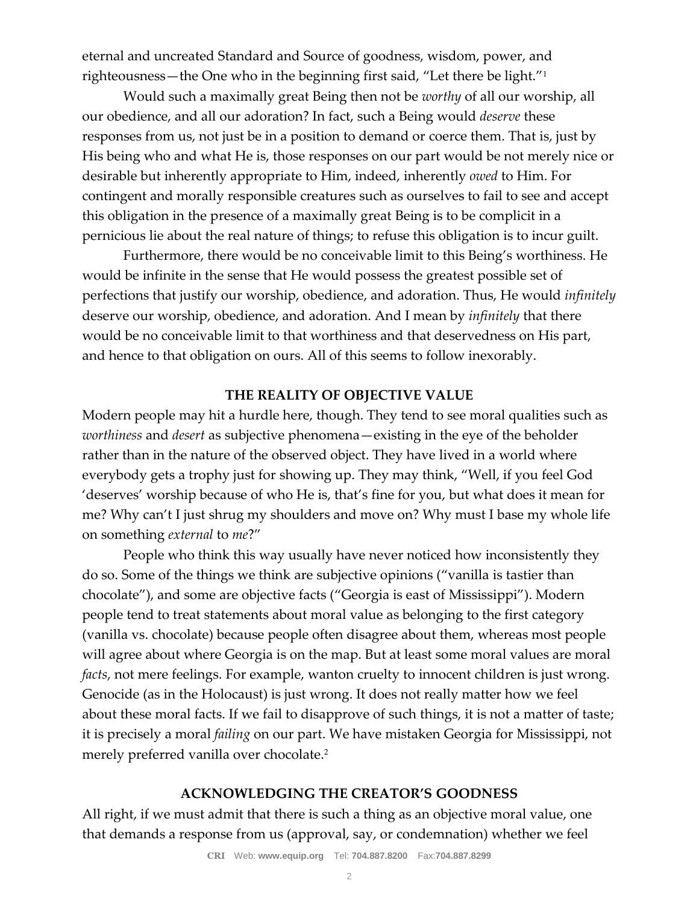eternal and uncreated Standard and Source of goodness, wisdom, power, and righteousness—the One who in the beginning first said, "Let there be light."<sup>1</sup>

Would such a maximally great Being then not be *worthy* of all our worship, all our obedience, and all our adoration? In fact, such a Being would *deserve* these responses from us, not just be in a position to demand or coerce them. That is, just by His being who and what He is, those responses on our part would be not merely nice or desirable but inherently appropriate to Him, indeed, inherently *owed* to Him. For contingent and morally responsible creatures such as ourselves to fail to see and accept this obligation in the presence of a maximally great Being is to be complicit in a pernicious lie about the real nature of things; to refuse this obligation is to incur guilt.

Furthermore, there would be no conceivable limit to this Being's worthiness. He would be infinite in the sense that He would possess the greatest possible set of perfections that justify our worship, obedience, and adoration. Thus, He would *infinitely*  deserve our worship, obedience, and adoration. And I mean by *infinitely* that there would be no conceivable limit to that worthiness and that deservedness on His part, and hence to that obligation on ours. All of this seems to follow inexorably.

# **THE REALITY OF OBJECTIVE VALUE**

Modern people may hit a hurdle here, though. They tend to see moral qualities such as *worthiness* and *desert* as subjective phenomena—existing in the eye of the beholder rather than in the nature of the observed object. They have lived in a world where everybody gets a trophy just for showing up. They may think, "Well, if you feel God 'deserves' worship because of who He is, that's fine for you, but what does it mean for me? Why can't I just shrug my shoulders and move on? Why must I base my whole life on something *external* to *me*?"

People who think this way usually have never noticed how inconsistently they do so. Some of the things we think are subjective opinions ("vanilla is tastier than chocolate"), and some are objective facts ("Georgia is east of Mississippi"). Modern people tend to treat statements about moral value as belonging to the first category (vanilla vs. chocolate) because people often disagree about them, whereas most people will agree about where Georgia is on the map. But at least some moral values are moral *facts*, not mere feelings. For example, wanton cruelty to innocent children is just wrong. Genocide (as in the Holocaust) is just wrong. It does not really matter how we feel about these moral facts. If we fail to disapprove of such things, it is not a matter of taste; it is precisely a moral *failing* on our part. We have mistaken Georgia for Mississippi, not merely preferred vanilla over chocolate. 2

# **ACKNOWLEDGING THE CREATOR'S GOODNESS**

All right, if we must admit that there is such a thing as an objective moral value, one that demands a response from us (approval, say, or condemnation) whether we feel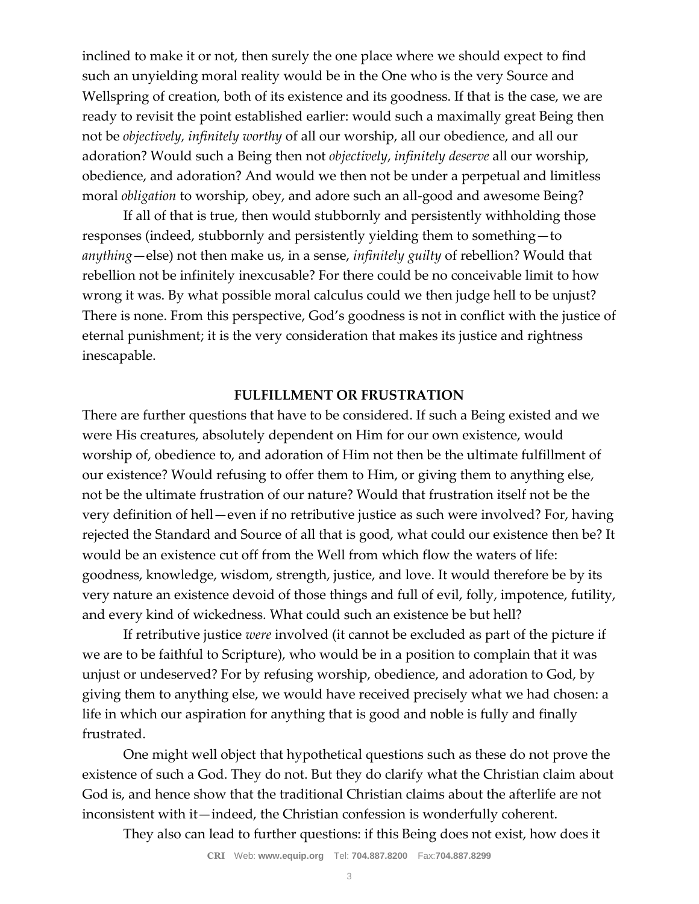inclined to make it or not, then surely the one place where we should expect to find such an unyielding moral reality would be in the One who is the very Source and Wellspring of creation, both of its existence and its goodness. If that is the case, we are ready to revisit the point established earlier: would such a maximally great Being then not be *objectively, infinitely worthy* of all our worship, all our obedience, and all our adoration? Would such a Being then not *objectively*, *infinitely deserve* all our worship, obedience, and adoration? And would we then not be under a perpetual and limitless moral *obligation* to worship, obey, and adore such an all-good and awesome Being?

If all of that is true, then would stubbornly and persistently withholding those responses (indeed, stubbornly and persistently yielding them to something—to *anything*—else) not then make us, in a sense, *infinitely guilty* of rebellion? Would that rebellion not be infinitely inexcusable? For there could be no conceivable limit to how wrong it was. By what possible moral calculus could we then judge hell to be unjust? There is none. From this perspective, God's goodness is not in conflict with the justice of eternal punishment; it is the very consideration that makes its justice and rightness inescapable.

### **FULFILLMENT OR FRUSTRATION**

There are further questions that have to be considered. If such a Being existed and we were His creatures, absolutely dependent on Him for our own existence, would worship of, obedience to, and adoration of Him not then be the ultimate fulfillment of our existence? Would refusing to offer them to Him, or giving them to anything else, not be the ultimate frustration of our nature? Would that frustration itself not be the very definition of hell—even if no retributive justice as such were involved? For, having rejected the Standard and Source of all that is good, what could our existence then be? It would be an existence cut off from the Well from which flow the waters of life: goodness, knowledge, wisdom, strength, justice, and love. It would therefore be by its very nature an existence devoid of those things and full of evil, folly, impotence, futility, and every kind of wickedness. What could such an existence be but hell?

If retributive justice *were* involved (it cannot be excluded as part of the picture if we are to be faithful to Scripture), who would be in a position to complain that it was unjust or undeserved? For by refusing worship, obedience, and adoration to God, by giving them to anything else, we would have received precisely what we had chosen: a life in which our aspiration for anything that is good and noble is fully and finally frustrated.

One might well object that hypothetical questions such as these do not prove the existence of such a God. They do not. But they do clarify what the Christian claim about God is, and hence show that the traditional Christian claims about the afterlife are not inconsistent with it—indeed, the Christian confession is wonderfully coherent.

They also can lead to further questions: if this Being does not exist, how does it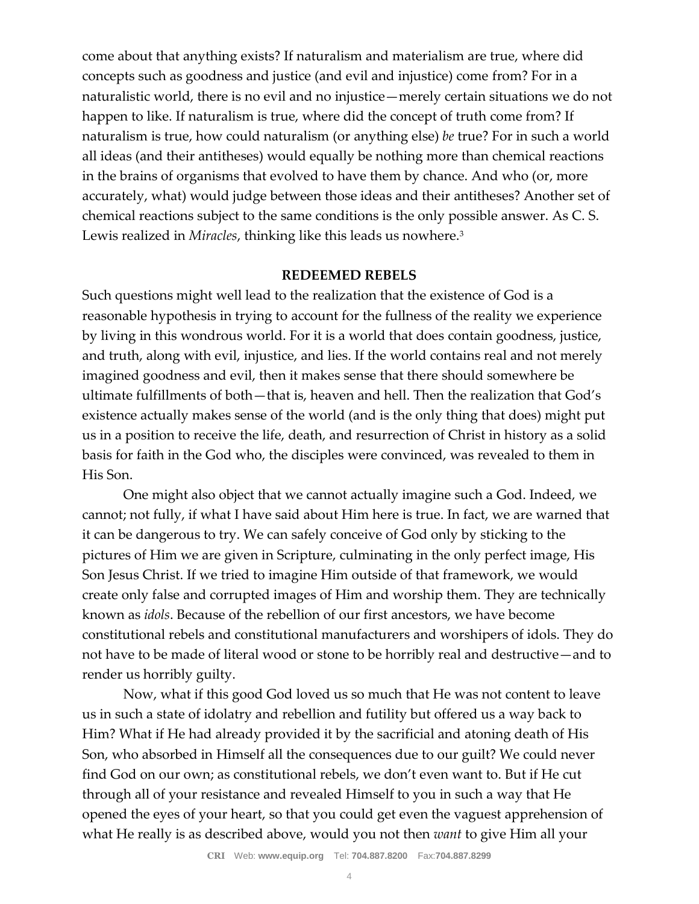come about that anything exists? If naturalism and materialism are true, where did concepts such as goodness and justice (and evil and injustice) come from? For in a naturalistic world, there is no evil and no injustice—merely certain situations we do not happen to like. If naturalism is true, where did the concept of truth come from? If naturalism is true, how could naturalism (or anything else) *be* true? For in such a world all ideas (and their antitheses) would equally be nothing more than chemical reactions in the brains of organisms that evolved to have them by chance. And who (or, more accurately, what) would judge between those ideas and their antitheses? Another set of chemical reactions subject to the same conditions is the only possible answer. As C. S. Lewis realized in *Miracles*, thinking like this leads us nowhere.<sup>3</sup>

#### **REDEEMED REBELS**

Such questions might well lead to the realization that the existence of God is a reasonable hypothesis in trying to account for the fullness of the reality we experience by living in this wondrous world. For it is a world that does contain goodness, justice, and truth, along with evil, injustice, and lies. If the world contains real and not merely imagined goodness and evil, then it makes sense that there should somewhere be ultimate fulfillments of both—that is, heaven and hell. Then the realization that God's existence actually makes sense of the world (and is the only thing that does) might put us in a position to receive the life, death, and resurrection of Christ in history as a solid basis for faith in the God who, the disciples were convinced, was revealed to them in His Son.

One might also object that we cannot actually imagine such a God. Indeed, we cannot; not fully, if what I have said about Him here is true. In fact, we are warned that it can be dangerous to try. We can safely conceive of God only by sticking to the pictures of Him we are given in Scripture, culminating in the only perfect image, His Son Jesus Christ. If we tried to imagine Him outside of that framework, we would create only false and corrupted images of Him and worship them. They are technically known as *idols*. Because of the rebellion of our first ancestors, we have become constitutional rebels and constitutional manufacturers and worshipers of idols. They do not have to be made of literal wood or stone to be horribly real and destructive—and to render us horribly guilty.

Now, what if this good God loved us so much that He was not content to leave us in such a state of idolatry and rebellion and futility but offered us a way back to Him? What if He had already provided it by the sacrificial and atoning death of His Son, who absorbed in Himself all the consequences due to our guilt? We could never find God on our own; as constitutional rebels, we don't even want to. But if He cut through all of your resistance and revealed Himself to you in such a way that He opened the eyes of your heart, so that you could get even the vaguest apprehension of what He really is as described above, would you not then *want* to give Him all your